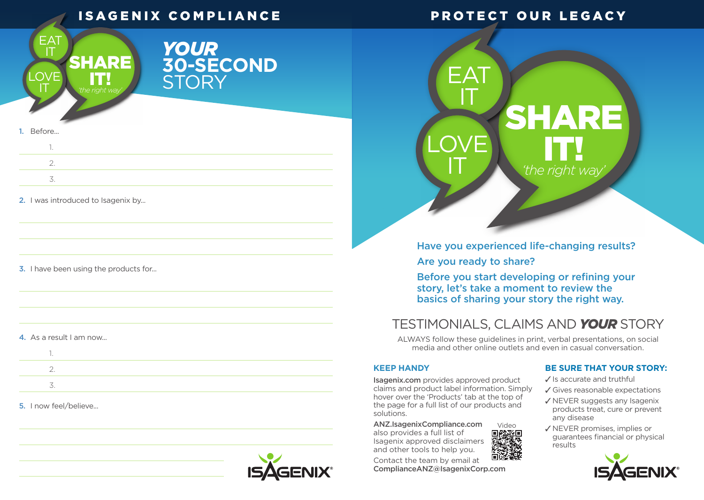# ISAGENIX COMPLIANCE

## PROTECT OUR LEGACY



# *YOUR* **30-SECOND STORY**

#### 1. Before...

2. I was introduced to Isagenix by...

#### **3.** I have been using the products for...

#### 4. As a result I am now...

#### 5. I now feel/believe...



# $\mathsf{F}\mathsf{A}\mathsf{T}$  $\mathbf I$ SHARE LOVE T *'the right way*

Have you experienced life-changing results?

Are you ready to share?

Before you start developing or refining your story, let's take a moment to review the basics of sharing your story the right way.

# TESTIMONIALS, CLAIMS AND *YOUR* STORY

ALWAYS follow these guidelines in print, verbal presentations, on social media and other online outlets and even in casual conversation.

#### **KEEP HANDY**

Isagenix.com provides approved product claims and product label information. Simply hover over the 'Products' tab at the top of the page for a full list of our products and solutions.

ANZ.IsagenixCompliance.com also provides a full list of Isagenix approved disclaimers and other tools to help you. Video<br>**同能発回**<br>爆炸爆炸

Contact the team by email at ComplianceANZ@IsagenixCorp.com

#### **BE SURE THAT YOUR STORY:**

 $\checkmark$  Is accurate and truthful

- Gives reasonable expectations
- $\sqrt{}$  NEVER suggests any Isagenix products treat, cure or prevent any disease
- √ NEVER promises, implies or guarantees financial or physical results